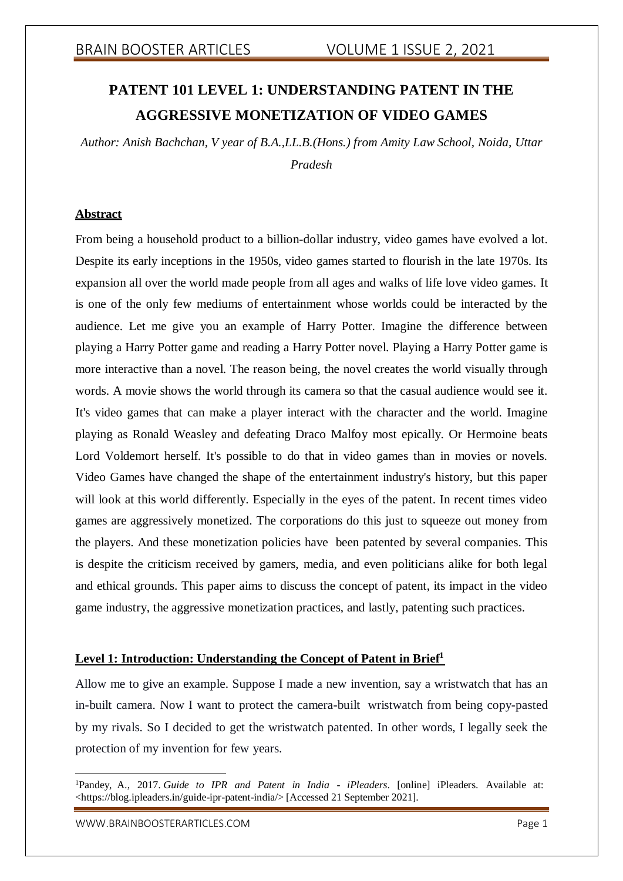# **PATENT 101 LEVEL 1: UNDERSTANDING PATENT IN THE AGGRESSIVE MONETIZATION OF VIDEO GAMES**

*Author: Anish Bachchan, V year of B.A.,LL.B.(Hons.) from Amity Law School, Noida, Uttar Pradesh*

### **Abstract**

From being a household product to a billion-dollar industry, video games have evolved a lot. Despite its early inceptions in the 1950s, video games started to flourish in the late 1970s. Its expansion all over the world made people from all ages and walks of life love video games. It is one of the only few mediums of entertainment whose worlds could be interacted by the audience. Let me give you an example of Harry Potter. Imagine the difference between playing a Harry Potter game and reading a Harry Potter novel. Playing a Harry Potter game is more interactive than a novel. The reason being, the novel creates the world visually through words. A movie shows the world through its camera so that the casual audience would see it. It's video games that can make a player interact with the character and the world. Imagine playing as Ronald Weasley and defeating Draco Malfoy most epically. Or Hermoine beats Lord Voldemort herself. It's possible to do that in video games than in movies or novels. Video Games have changed the shape of the entertainment industry's history, but this paper will look at this world differently. Especially in the eyes of the patent. In recent times video games are aggressively monetized. The corporations do this just to squeeze out money from the players. And these monetization policies have been patented by several companies. This is despite the criticism received by gamers, media, and even politicians alike for both legal and ethical grounds. This paper aims to discuss the concept of patent, its impact in the video game industry, the aggressive monetization practices, and lastly, patenting such practices.

### **Level 1: Introduction: Understanding the Concept of Patent in Brief<sup>1</sup>**

Allow me to give an example. Suppose I made a new invention, say a wristwatch that has an in-built camera. Now I want to protect the camera-built wristwatch from being copy-pasted by my rivals. So I decided to get the wristwatch patented. In other words, I legally seek the protection of my invention for few years.

<sup>1</sup>Pandey, A., 2017. *Guide to IPR and Patent in India - iPleaders*. [online] iPleaders. Available at: <https://blog.ipleaders.in/guide-ipr-patent-india/> [Accessed 21 September 2021].

[WWW.BRAINBOOSTERARTICLES.COM](http://www.brainboosterarticles.com/) extended that the control of the page 1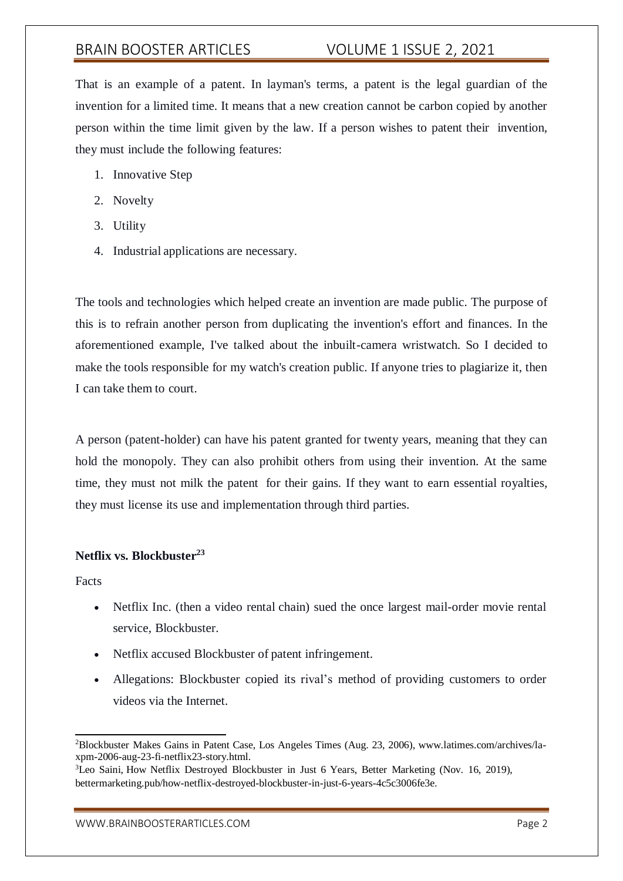That is an example of a patent. In layman's terms, a patent is the legal guardian of the invention for a limited time. It means that a new creation cannot be carbon copied by another person within the time limit given by the law. If a person wishes to patent their invention, they must include the following features:

- 1. Innovative Step
- 2. Novelty
- 3. Utility
- 4. Industrial applications are necessary.

The tools and technologies which helped create an invention are made public. The purpose of this is to refrain another person from duplicating the invention's effort and finances. In the aforementioned example, I've talked about the inbuilt-camera wristwatch. So I decided to make the tools responsible for my watch's creation public. If anyone tries to plagiarize it, then I can take them to court.

A person (patent-holder) can have his patent granted for twenty years, meaning that they can hold the monopoly. They can also prohibit others from using their invention. At the same time, they must not milk the patent for their gains. If they want to earn essential royalties, they must license its use and implementation through third parties.

### **Netflix vs. Blockbuster<sup>23</sup>**

Facts

- Netflix Inc. (then a video rental chain) sued the once largest mail-order movie rental service, Blockbuster.
- Netflix accused Blockbuster of patent infringement.
- Allegations: Blockbuster copied its rival's method of providing customers to order videos via the Internet.

<sup>2</sup>Blockbuster Makes Gains in Patent Case, Los Angeles Times (Aug. 23, 2006), [www.latimes.com/archives/la](http://www.latimes.com/archives/la-)xpm-2006-aug-23-fi-netflix23-story.html.

<sup>&</sup>lt;sup>3</sup>Leo Saini, How Netflix Destroyed Blockbuster in Just 6 Years, Better Marketing (Nov. 16, 2019), bettermarketing.pub/how-netflix-destroyed-blockbuster-in-just-6-years-4c5c3006fe3e.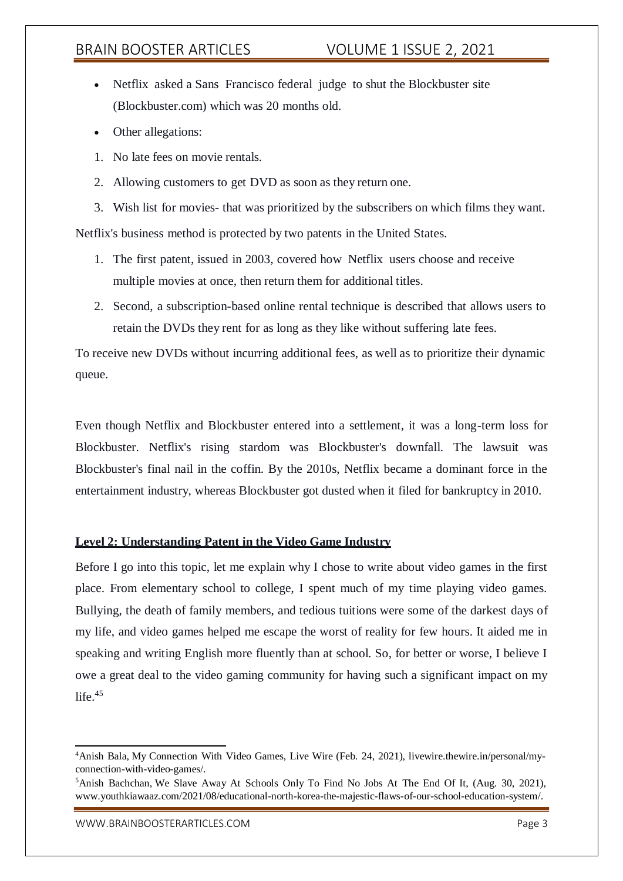- Netflix asked a Sans Francisco federal judge to shut the Blockbuster site (Blockbuster.com) which was 20 months old.
- Other allegations:
- 1. No late fees on movie rentals.
- 2. Allowing customers to get DVD as soon as they return one.
- 3. Wish list for movies- that was prioritized by the subscribers on which films they want.

Netflix's business method is protected by two patents in the United States.

- 1. The first patent, issued in 2003, covered how Netflix users choose and receive multiple movies at once, then return them for additional titles.
- 2. Second, a subscription-based online rental technique is described that allows users to retain the DVDs they rent for as long as they like without suffering late fees.

To receive new DVDs without incurring additional fees, as well as to prioritize their dynamic queue.

Even though Netflix and Blockbuster entered into a settlement, it was a long-term loss for Blockbuster. Netflix's rising stardom was Blockbuster's downfall. The lawsuit was Blockbuster's final nail in the coffin. By the 2010s, Netflix became a dominant force in the entertainment industry, whereas Blockbuster got dusted when it filed for bankruptcy in 2010.

### **Level 2: Understanding Patent in the Video Game Industry**

Before I go into this topic, let me explain why I chose to write about video games in the first place. From elementary school to college, I spent much of my time playing video games. Bullying, the death of family members, and tedious tuitions were some of the darkest days of my life, and video games helped me escape the worst of reality for few hours. It aided me in speaking and writing English more fluently than at school. So, for better or worse, I believe I owe a great deal to the video gaming community for having such a significant impact on my life. $45$ 

<sup>4</sup>Anish Bala, My Connection With Video Games, Live Wire (Feb. 24, 2021), livewire.thewire.in/personal/myconnection-with-video-games/.

<sup>5</sup>Anish Bachchan, We Slave Away At Schools Only To Find No Jobs At The End Of It, (Aug. 30, 2021), [www.youthkiawaaz.com/2021/08/educational-north-korea-the-majestic-flaws-of-our-school-education-system/.](http://www.youthkiawaaz.com/2021/08/educational-north-korea-the-majestic-flaws-of-our-school-education-system/)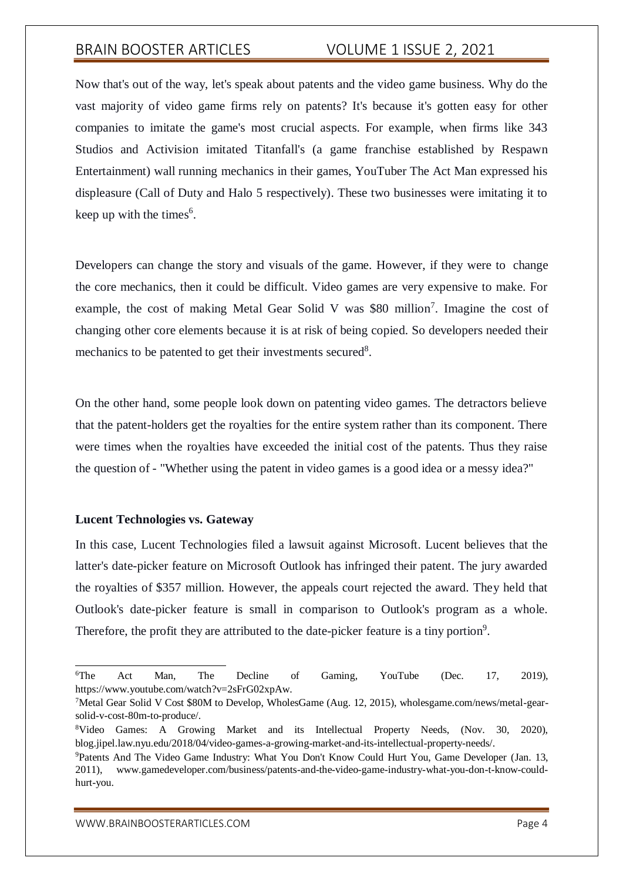Now that's out of the way, let's speak about patents and the video game business. Why do the vast majority of video game firms rely on patents? It's because it's gotten easy for other companies to imitate the game's most crucial aspects. For example, when firms like 343 Studios and Activision imitated Titanfall's (a game franchise established by Respawn Entertainment) wall running mechanics in their games, YouTuber The Act Man expressed his displeasure (Call of Duty and Halo 5 respectively). These two businesses were imitating it to keep up with the times<sup>6</sup>.

Developers can change the story and visuals of the game. However, if they were to change the core mechanics, then it could be difficult. Video games are very expensive to make. For example, the cost of making Metal Gear Solid V was \$80 million<sup>7</sup>. Imagine the cost of changing other core elements because it is at risk of being copied. So developers needed their mechanics to be patented to get their investments secured $8$ .

On the other hand, some people look down on patenting video games. The detractors believe that the patent-holders get the royalties for the entire system rather than its component. There were times when the royalties have exceeded the initial cost of the patents. Thus they raise the question of - "Whether using the patent in video games is a good idea or a messy idea?"

### **Lucent Technologies vs. Gateway**

In this case, Lucent Technologies filed a lawsuit against Microsoft. Lucent believes that the latter's date-picker feature on Microsoft Outlook has infringed their patent. The jury awarded the royalties of \$357 million. However, the appeals court rejected the award. They held that Outlook's date-picker feature is small in comparison to Outlook's program as a whole. Therefore, the profit they are attributed to the date-picker feature is a tiny portion<sup>9</sup>.

[WWW.BRAINBOOSTERARTICLES.COM](http://www.brainboosterarticles.com/) Page 4

<sup>&</sup>lt;sup>6</sup>The Act Man, The Decline of Gaming, YouTube (Dec. 17, 2019), https:/[/www.youtube.com/watch?v=2sFrG02xpAw.](http://www.youtube.com/watch?v=2sFrG02xpAw)

<sup>7</sup>Metal Gear Solid V Cost \$80M to Develop, WholesGame (Aug. 12, 2015), wholesgame.com/news/metal-gearsolid-v-cost-80m-to-produce/.

<sup>8</sup>Video Games: A Growing Market and its Intellectual Property Needs, (Nov. 30, 2020), blog.jipel.law.nyu.edu/2018/04/video-games-a-growing-market-and-its-intellectual-property-needs/.

<sup>9</sup>Patents And The Video Game Industry: What You Don't Know Could Hurt You, Game Developer (Jan. 13, 2011), [www.gamedeveloper.com/business/patents-and-the-video-game-industry-what-you-don-t-know-could](http://www.gamedeveloper.com/business/patents-and-the-video-game-industry-what-you-don-t-know-could-)hurt-you.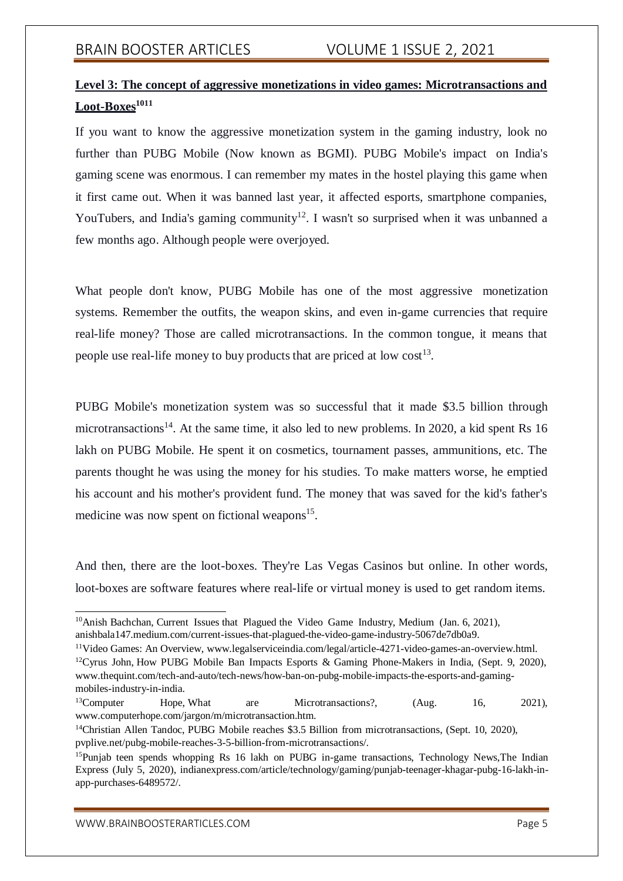## **Level 3: The concept of aggressive monetizations in video games: Microtransactions and Loot-Boxes<sup>1011</sup>**

If you want to know the aggressive monetization system in the gaming industry, look no further than PUBG Mobile (Now known as BGMI). PUBG Mobile's impact on India's gaming scene was enormous. I can remember my mates in the hostel playing this game when it first came out. When it was banned last year, it affected esports, smartphone companies, YouTubers, and India's gaming community<sup>12</sup>. I wasn't so surprised when it was unbanned a few months ago. Although people were overjoyed.

What people don't know, PUBG Mobile has one of the most aggressive monetization systems. Remember the outfits, the weapon skins, and even in-game currencies that require real-life money? Those are called microtransactions. In the common tongue, it means that people use real-life money to buy products that are priced at low cost<sup>13</sup>.

PUBG Mobile's monetization system was so successful that it made \$3.5 billion through microtransactions<sup>14</sup>. At the same time, it also led to new problems. In 2020, a kid spent Rs 16 lakh on PUBG Mobile. He spent it on cosmetics, tournament passes, ammunitions, etc. The parents thought he was using the money for his studies. To make matters worse, he emptied his account and his mother's provident fund. The money that was saved for the kid's father's medicine was now spent on fictional weapons<sup>15</sup>.

And then, there are the loot-boxes. They're Las Vegas Casinos but online. In other words, loot-boxes are software features where real-life or virtual money is used to get random items.

<sup>11</sup>Video Games: An Overview, [www.legalserviceindia.com/legal/article-4271-video-games-an-overview.html.](http://www.legalserviceindia.com/legal/article-4271-video-games-an-overview.html) <sup>12</sup>Cyrus John, How PUBG Mobile Ban Impacts Esports & Gaming Phone-Makers in India, (Sept. 9, 2020), [www.thequint.com/tech-and-auto/tech-news/how-ban-on-pubg-mobile-impacts-the-esports-and-gaming](http://www.thequint.com/tech-and-auto/tech-news/how-ban-on-pubg-mobile-impacts-the-esports-and-gaming-)mobiles-industry-in-india.

<sup>&</sup>lt;sup>10</sup>Anish Bachchan, Current Issues that Plagued the Video Game Industry, Medium (Jan. 6, 2021), anishbala147.medium.com/current-issues-that-plagued-the-video-game-industry-5067de7db0a9.

 $13$ Computer Hope, What are Microtransactions?,  $(Aug. 16, 2021)$ , [www.computerhope.com/jargon/m/microtransaction.htm.](http://www.computerhope.com/jargon/m/microtransaction.htm)

<sup>&</sup>lt;sup>14</sup>Christian Allen Tandoc, PUBG Mobile reaches \$3.5 Billion from microtransactions, (Sept. 10, 2020), pvplive.net/pubg-mobile-reaches-3-5-billion-from-microtransactions/.

<sup>&</sup>lt;sup>15</sup>Punjab teen spends whopping Rs 16 lakh on PUBG in-game transactions, Technology News, The Indian Express (July 5, 2020), indianexpress.com/article/technology/gaming/punjab-teenager-khagar-pubg-16-lakh-inapp-purchases-6489572/.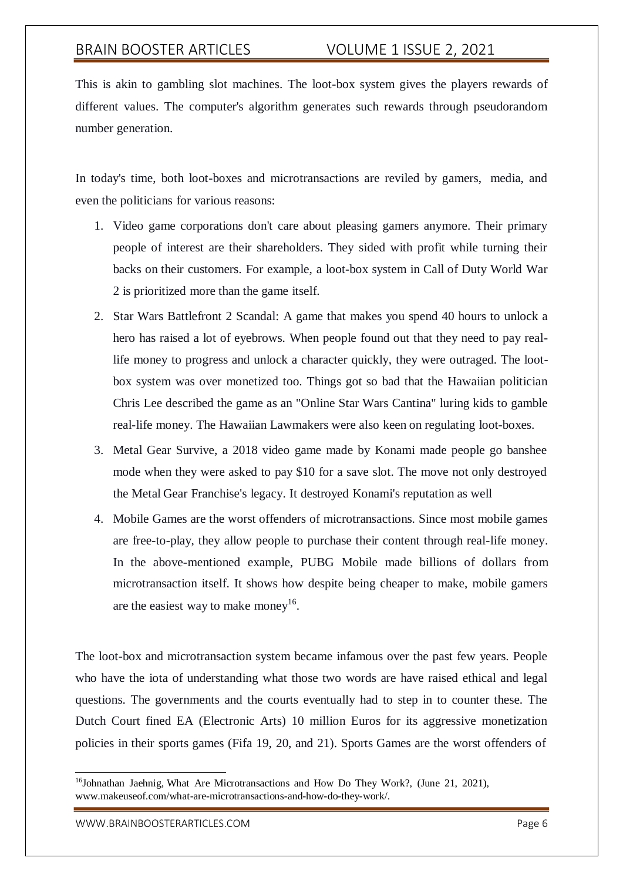This is akin to gambling slot machines. The loot-box system gives the players rewards of different values. The computer's algorithm generates such rewards through pseudorandom number generation.

In today's time, both loot-boxes and microtransactions are reviled by gamers, media, and even the politicians for various reasons:

- 1. Video game corporations don't care about pleasing gamers anymore. Their primary people of interest are their shareholders. They sided with profit while turning their backs on their customers. For example, a loot-box system in Call of Duty World War 2 is prioritized more than the game itself.
- 2. Star Wars Battlefront 2 Scandal: A game that makes you spend 40 hours to unlock a hero has raised a lot of eyebrows. When people found out that they need to pay reallife money to progress and unlock a character quickly, they were outraged. The lootbox system was over monetized too. Things got so bad that the Hawaiian politician Chris Lee described the game as an "Online Star Wars Cantina" luring kids to gamble real-life money. The Hawaiian Lawmakers were also keen on regulating loot-boxes.
- 3. Metal Gear Survive, a 2018 video game made by Konami made people go banshee mode when they were asked to pay \$10 for a save slot. The move not only destroyed the Metal Gear Franchise's legacy. It destroyed Konami's reputation as well
- 4. Mobile Games are the worst offenders of microtransactions. Since most mobile games are free-to-play, they allow people to purchase their content through real-life money. In the above-mentioned example, PUBG Mobile made billions of dollars from microtransaction itself. It shows how despite being cheaper to make, mobile gamers are the easiest way to make money<sup>16</sup>.

The loot-box and microtransaction system became infamous over the past few years. People who have the iota of understanding what those two words are have raised ethical and legal questions. The governments and the courts eventually had to step in to counter these. The Dutch Court fined EA (Electronic Arts) 10 million Euros for its aggressive monetization policies in their sports games (Fifa 19, 20, and 21). Sports Games are the worst offenders of

<sup>&</sup>lt;sup>16</sup>Johnathan Jaehnig, What Are Microtransactions and How Do They Work?, (June 21, 2021), [www.makeuseof.com/what-are-microtransactions-and-how-do-they-work/.](http://www.makeuseof.com/what-are-microtransactions-and-how-do-they-work/)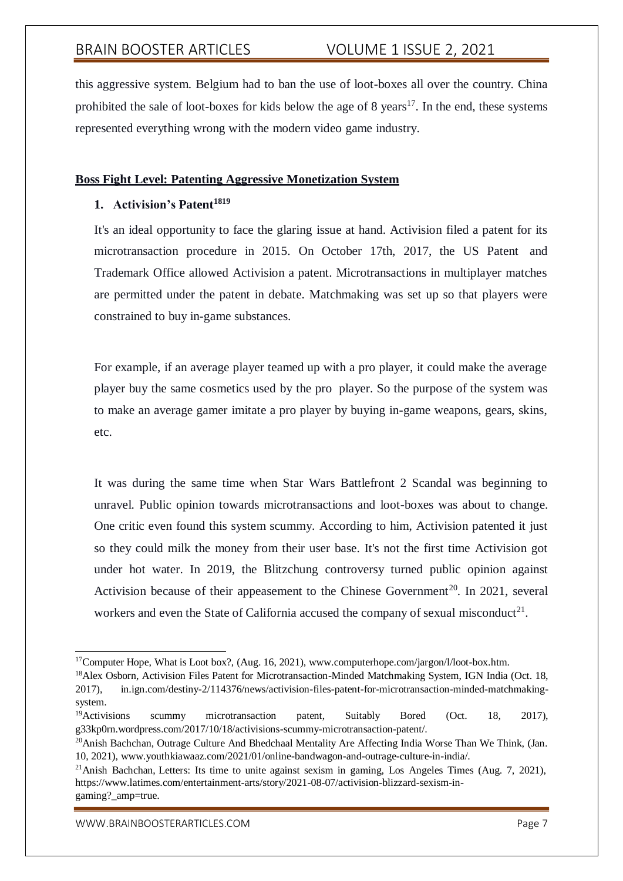this aggressive system. Belgium had to ban the use of loot-boxes all over the country. China prohibited the sale of loot-boxes for kids below the age of  $8 \text{ years}^{17}$ . In the end, these systems represented everything wrong with the modern video game industry.

### **Boss Fight Level: Patenting Aggressive Monetization System**

### **1. Activision's Patent<sup>1819</sup>**

It's an ideal opportunity to face the glaring issue at hand. Activision filed a patent for its microtransaction procedure in 2015. On October 17th, 2017, the US Patent and Trademark Office allowed Activision a patent. Microtransactions in multiplayer matches are permitted under the patent in debate. Matchmaking was set up so that players were constrained to buy in-game substances.

For example, if an average player teamed up with a pro player, it could make the average player buy the same cosmetics used by the pro player. So the purpose of the system was to make an average gamer imitate a pro player by buying in-game weapons, gears, skins, etc.

It was during the same time when Star Wars Battlefront 2 Scandal was beginning to unravel. Public opinion towards microtransactions and loot-boxes was about to change. One critic even found this system scummy. According to him, Activision patented it just so they could milk the money from their user base. It's not the first time Activision got under hot water. In 2019, the Blitzchung controversy turned public opinion against Activision because of their appeasement to the Chinese Government<sup>20</sup>. In 2021, several workers and even the State of California accused the company of sexual misconduct<sup>21</sup>.

[WWW.BRAINBOOSTERARTICLES.COM](http://www.brainboosterarticles.com/) extended that the control of the page 7

<sup>&</sup>lt;sup>17</sup>Computer Hope, What is Loot box?, (Aug. 16, 2021), [www.computerhope.com/jargon/l/loot-box.htm.](http://www.computerhope.com/jargon/l/loot-box.htm)

<sup>&</sup>lt;sup>18</sup>Alex Osborn, Activision Files Patent for Microtransaction-Minded Matchmaking System, IGN India (Oct. 18, 2017), in.ign.com/destiny-2/114376/news/activision-files-patent-for-microtransaction-minded-matchmakingsystem.

<sup>&</sup>lt;sup>19</sup>Activisions scummy microtransaction patent, Suitably Bored (Oct. 18, 2017), g33kp0rn.wordpress.com/2017/10/18/activisions-scummy-microtransaction-patent/.

<sup>&</sup>lt;sup>20</sup>Anish Bachchan, Outrage Culture And Bhedchaal Mentality Are Affecting India Worse Than We Think, (Jan. 10, 2021), [www.youthkiawaaz.com/2021/01/online-bandwagon-and-outrage-culture-in-india/.](http://www.youthkiawaaz.com/2021/01/online-bandwagon-and-outrage-culture-in-india/)

<sup>&</sup>lt;sup>21</sup>Anish Bachchan, Letters: Its time to unite against sexism in gaming, Los Angeles Times (Aug. 7, 2021), https:/[/www.latimes.com/entertainment-arts/story/2021-08-07/activision-blizzard-sexism-in](http://www.latimes.com/entertainment-arts/story/2021-08-07/activision-blizzard-sexism-in-)gaming? amp=true.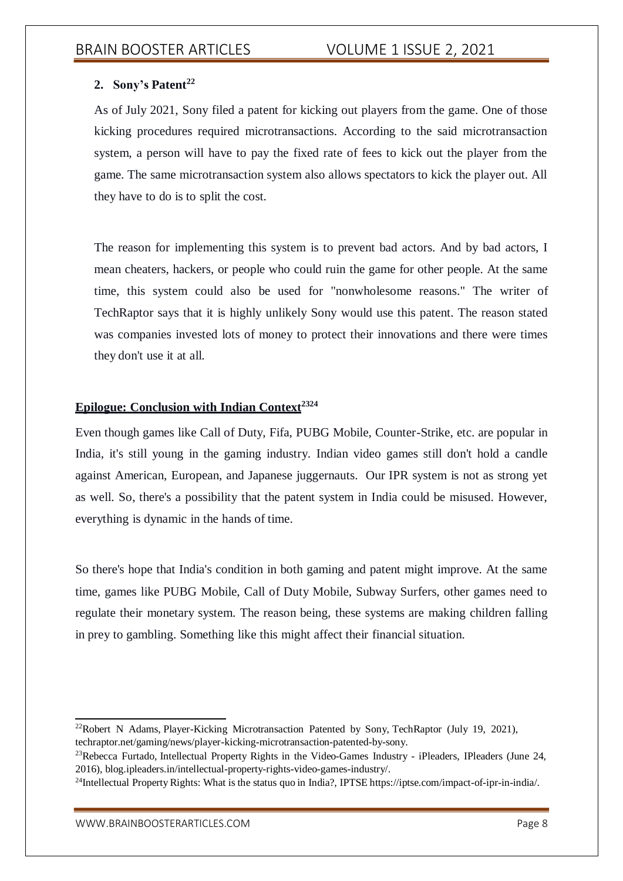## **2. Sony's Patent<sup>22</sup>**

As of July 2021, Sony filed a patent for kicking out players from the game. One of those kicking procedures required microtransactions. According to the said microtransaction system, a person will have to pay the fixed rate of fees to kick out the player from the game. The same microtransaction system also allows spectators to kick the player out. All they have to do is to split the cost.

The reason for implementing this system is to prevent bad actors. And by bad actors, I mean cheaters, hackers, or people who could ruin the game for other people. At the same time, this system could also be used for "nonwholesome reasons." The writer of TechRaptor says that it is highly unlikely Sony would use this patent. The reason stated was companies invested lots of money to protect their innovations and there were times they don't use it at all.

## **Epilogue: Conclusion with Indian Context<sup>2324</sup>**

Even though games like Call of Duty, Fifa, PUBG Mobile, Counter-Strike, etc. are popular in India, it's still young in the gaming industry. Indian video games still don't hold a candle against American, European, and Japanese juggernauts. Our IPR system is not as strong yet as well. So, there's a possibility that the patent system in India could be misused. However, everything is dynamic in the hands of time.

So there's hope that India's condition in both gaming and patent might improve. At the same time, games like PUBG Mobile, Call of Duty Mobile, Subway Surfers, other games need to regulate their monetary system. The reason being, these systems are making children falling in prey to gambling. Something like this might affect their financial situation.

<sup>&</sup>lt;sup>22</sup>Robert N Adams, Player-Kicking Microtransaction Patented by Sony, TechRaptor (July 19, 2021), techraptor.net/gaming/news/player-kicking-microtransaction-patented-by-sony.

<sup>&</sup>lt;sup>23</sup>Rebecca Furtado, Intellectual Property Rights in the Video-Games Industry - iPleaders, IPleaders (June 24, 2016), blog.ipleaders.in/intellectual-property-rights-video-games-industry/.

 $^{24}$ Intellectual Property Rights: What is the status quo in India?, IPTSE https://iptse.com/impact-of-ipr-in-india/.